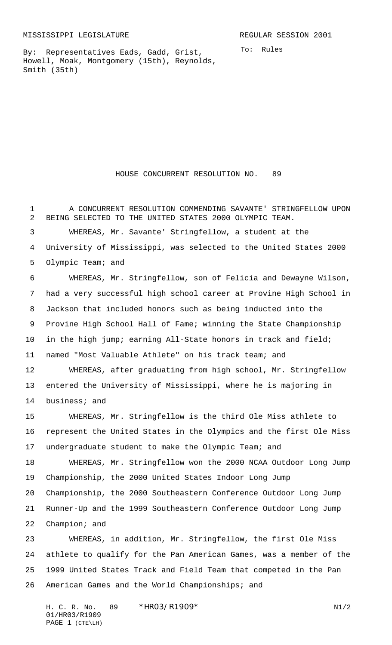By: Representatives Eads, Gadd, Grist, Howell, Moak, Montgomery (15th), Reynolds, Smith (35th)

To: Rules

HOUSE CONCURRENT RESOLUTION NO. 89

 A CONCURRENT RESOLUTION COMMENDING SAVANTE' STRINGFELLOW UPON BEING SELECTED TO THE UNITED STATES 2000 OLYMPIC TEAM. WHEREAS, Mr. Savante' Stringfellow, a student at the University of Mississippi, was selected to the United States 2000 Olympic Team; and WHEREAS, Mr. Stringfellow, son of Felicia and Dewayne Wilson, had a very successful high school career at Provine High School in Jackson that included honors such as being inducted into the Provine High School Hall of Fame; winning the State Championship in the high jump; earning All-State honors in track and field; named "Most Valuable Athlete" on his track team; and WHEREAS, after graduating from high school, Mr. Stringfellow entered the University of Mississippi, where he is majoring in business; and WHEREAS, Mr. Stringfellow is the third Ole Miss athlete to represent the United States in the Olympics and the first Ole Miss undergraduate student to make the Olympic Team; and WHEREAS, Mr. Stringfellow won the 2000 NCAA Outdoor Long Jump Championship, the 2000 United States Indoor Long Jump Championship, the 2000 Southeastern Conference Outdoor Long Jump Runner-Up and the 1999 Southeastern Conference Outdoor Long Jump Champion; and WHEREAS, in addition, Mr. Stringfellow, the first Ole Miss athlete to qualify for the Pan American Games, was a member of the 1999 United States Track and Field Team that competed in the Pan

American Games and the World Championships; and

H. C. R. No. 89 \* HRO3/R1909\* N1/2 01/HR03/R1909 PAGE 1 (CTE\LH)